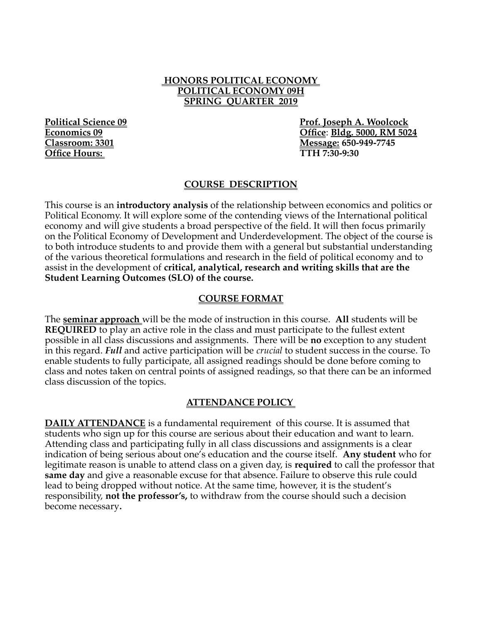#### **HONORS POLITICAL ECONOMY POLITICAL ECONOMY 09H SPRING QUARTER 2019**

**Office Hours:** 

**Political Science 09 Prof. Joseph A. Woolcock Economics 09 Office**: **Bldg. 5000, RM 5024 Classroom: 3301 Message: 650-949-7745**

### **COURSE DESCRIPTION**

This course is an **introductory analysis** of the relationship between economics and politics or Political Economy. It will explore some of the contending views of the International political economy and will give students a broad perspective of the field. It will then focus primarily on the Political Economy of Development and Underdevelopment. The object of the course is to both introduce students to and provide them with a general but substantial understanding of the various theoretical formulations and research in the field of political economy and to assist in the development of **critical, analytical, research and writing skills that are the Student Learning Outcomes (SLO) of the course.**

### **COURSE FORMAT**

The **seminar approach** will be the mode of instruction in this course. **All** students will be **REQUIRED** to play an active role in the class and must participate to the fullest extent possible in all class discussions and assignments. There will be **no** exception to any student in this regard. *Full* and active participation will be *crucial* to student success in the course. To enable students to fully participate, all assigned readings should be done before coming to class and notes taken on central points of assigned readings, so that there can be an informed class discussion of the topics.

#### **ATTENDANCE POLICY**

**DAILY ATTENDANCE** is a fundamental requirement of this course. It is assumed that students who sign up for this course are serious about their education and want to learn. Attending class and participating fully in all class discussions and assignments is a clear indication of being serious about one's education and the course itself. **Any student** who for legitimate reason is unable to attend class on a given day, is **required** to call the professor that **same day** and give a reasonable excuse for that absence. Failure to observe this rule could lead to being dropped without notice. At the same time, however, it is the student's responsibility, **not the professor's,** to withdraw from the course should such a decision become necessary**.**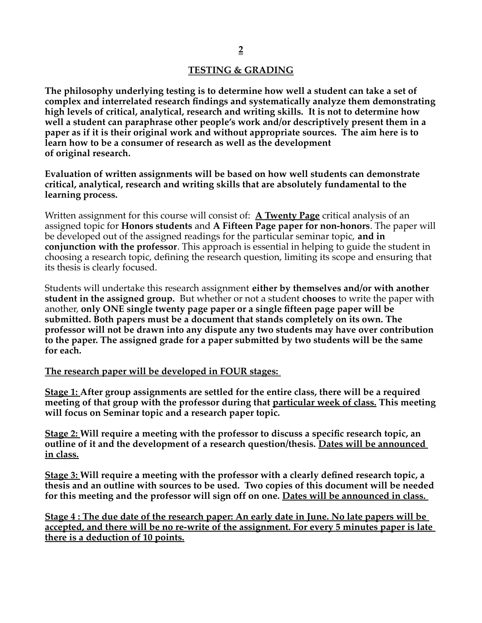### **TESTING & GRADING**

**The philosophy underlying testing is to determine how well a student can take a set of complex and interrelated research findings and systematically analyze them demonstrating high levels of critical, analytical, research and writing skills. It is not to determine how well a student can paraphrase other people's work and/or descriptively present them in a paper as if it is their original work and without appropriate sources. The aim here is to learn how to be a consumer of research as well as the development of original research.**

**Evaluation of written assignments will be based on how well students can demonstrate critical, analytical, research and writing skills that are absolutely fundamental to the learning process.**

Written assignment for this course will consist of: **A Twenty Page** critical analysis of an assigned topic for **Honors students** and **A Fifteen Page paper for non-honors**. The paper will be developed out of the assigned readings for the particular seminar topic, **and in conjunction with the professor**. This approach is essential in helping to guide the student in choosing a research topic, defining the research question, limiting its scope and ensuring that its thesis is clearly focused.

Students will undertake this research assignment **either by themselves and/or with another student in the assigned group.** But whether or not a student **chooses** to write the paper with another, **only ONE single twenty page paper or a single fifteen page paper will be submitted. Both papers must be a document that stands completely on its own. The professor will not be drawn into any dispute any two students may have over contribution to the paper. The assigned grade for a paper submitted by two students will be the same for each.**

#### **The research paper will be developed in FOUR stages:**

**Stage 1: After group assignments are settled for the entire class, there will be a required meeting of that group with the professor during that particular week of class. This meeting will focus on Seminar topic and a research paper topic.**

**Stage 2: Will require a meeting with the professor to discuss a specific research topic, an outline of it and the development of a research question/thesis. Dates will be announced in class.**

**Stage 3: Will require a meeting with the professor with a clearly defined research topic, a thesis and an outline with sources to be used. Two copies of this document will be needed for this meeting and the professor will sign off on one. Dates will be announced in class.** 

**Stage 4 : The due date of the research paper: An early date in June. No late papers will be accepted, and there will be no re-write of the assignment. For every 5 minutes paper is late there is a deduction of 10 points.**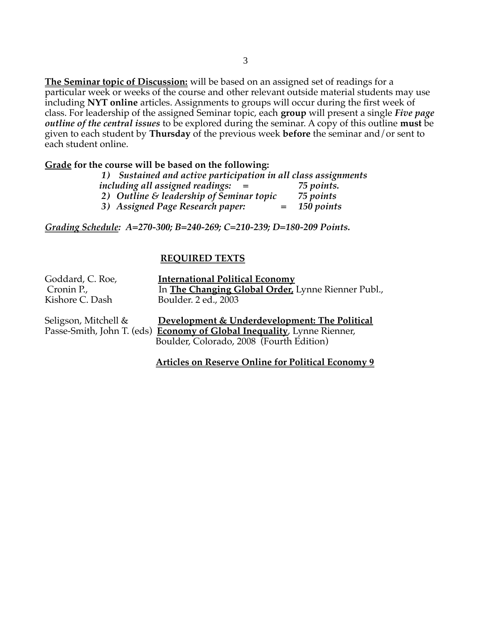**The Seminar topic of Discussion:** will be based on an assigned set of readings for a particular week or weeks of the course and other relevant outside material students may use including **NYT online** articles. Assignments to groups will occur during the first week of class. For leadership of the assigned Seminar topic, each **group** will present a single *Five page outline of the central issues* to be explored during the seminar. A copy of this outline **must** be given to each student by **Thursday** of the previous week **before** the seminar and/or sent to each student online.

#### **Grade for the course will be based on the following:**

| 1) Sustained and active participation in all class assignments |                |
|----------------------------------------------------------------|----------------|
| including all assigned readings: $=$                           | 75 points.     |
| 2) Outline & leadership of Seminar topic                       | 75 points      |
| 3) Assigned Page Research paper:                               | $=$ 150 points |

*Grading Schedule: A=270-300; B=240-269; C=210-239; D=180-209 Points.*

#### **REQUIRED TEXTS**

| Goddard, C. Roe,           | <b>International Political Economy</b>               |
|----------------------------|------------------------------------------------------|
| Cronin P.,                 | In The Changing Global Order, Lynne Rienner Publ.,   |
| Kishore C. Dash            | Boulder. 2 ed., 2003                                 |
|                            |                                                      |
|                            |                                                      |
| Seligson, Mitchell &       | Development & Underdevelopment: The Political        |
| Passe-Smith, John T. (eds) | <b>Economy of Global Inequality</b> , Lynne Rienner, |

 **Articles on Reserve Online for Political Economy 9**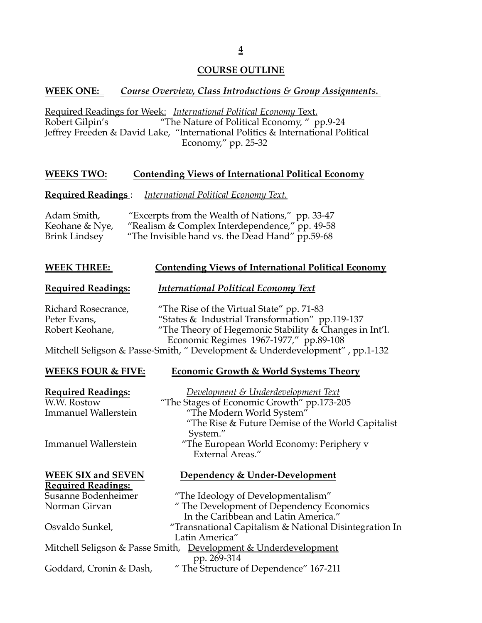# **COURSE OUTLINE**

# **WEEK ONE:** *Course Overview, Class Introductions & Group Assignments.*

Required Readings for Week: *International Political Economy* Text.  $\overline{\text{F}}$ The Nature of Political Economy, " pp.9-24 Jeffrey Freeden & David Lake, "International Politics & International Political Economy," pp. 25-32

# **WEEKS TWO: Contending Views of International Political Economy**

# **Required Readings** : *International Political Economy Text.*

| Adam Smith,    | "Excerpts from the Wealth of Nations," pp. 33-47 |
|----------------|--------------------------------------------------|
| Keohane & Nye, | "Realism & Complex Interdependence," pp. 49-58   |
| Brink Lindsey  | "The Invisible hand vs. the Dead Hand" pp.59-68  |

# **WEEK THREE:** Contending Views of International Political Economy

# **Required Readings:** *International Political Economy Text*

Richard Rosecrance, "The Rise of the Virtual State" pp. 71-83 Peter Evans, "States & Industrial Transformation" pp.119-137 Robert Keohane, "The Theory of Hegemonic Stability & Changes in Int'l. Economic Regimes 1967-1977," pp.89-108

Mitchell Seligson & Passe-Smith, " Development & Underdevelopment" , pp.1-132

System."

# **WEEKS FOUR & FIVE:****Economic Growth & World Systems Theory**

"The Rise & Future Demise of the World Capitalist

"The Stages of Economic Growth" pp.173-205

# **Required Readings:** *Development & Underdevelopment Text*

Immanuel Wallerstein "The Modern World System"

Immanuel Wallerstein "The European World Economy: Periphery v

#### **WEEK SIX and SEXTLE Required Reading**

| "Transnational Capitalism & National Disintegration In |
|--------------------------------------------------------|
|                                                        |
|                                                        |
|                                                        |
|                                                        |
|                                                        |